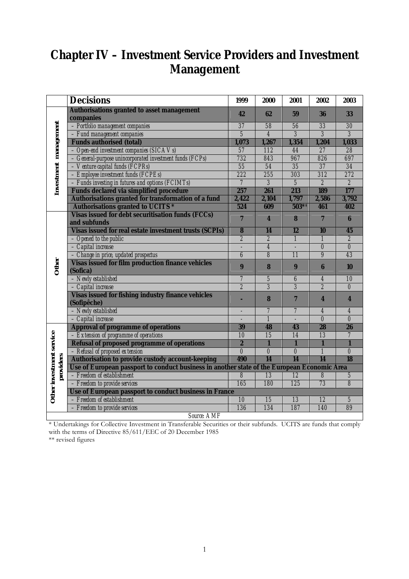# **Chapter IV – Investment Service Providers and Investment Management**

|                          | <b>Decisions</b>                                                                            | 1999                    | 2000                      | 2001                     | 2002                    | 2003                             |  |  |  |
|--------------------------|---------------------------------------------------------------------------------------------|-------------------------|---------------------------|--------------------------|-------------------------|----------------------------------|--|--|--|
|                          | <b>Authorisations granted to asset management</b><br>companies                              | 42                      | 62                        | 59                       | 36                      | 33                               |  |  |  |
|                          | - Portfolio management companies                                                            | $\overline{37}$         | $\overline{58}$           | $\overline{56}$          | $\overline{33}$         | $\overline{30}$                  |  |  |  |
|                          | - Fund management companies                                                                 | $\overline{5}$          | $\overline{4}$            | $\overline{\mathcal{S}}$ |                         |                                  |  |  |  |
|                          | <b>Funds authorised (total)</b>                                                             | 1,073                   | 1,267                     | 1,354                    | 1,204                   | 1,033                            |  |  |  |
| Investment management    | $-$ Open-end investment companies (SICA Vs)                                                 | 57                      | 112                       | 44                       | 27                      | $\overline{28}$                  |  |  |  |
|                          | - General-purpose unincorporated investment funds (FCPs)                                    | 732                     | 843                       | 967                      | 826                     | 697                              |  |  |  |
|                          | - Venture capital funds (FCPRs)                                                             | $\overline{55}$         | 54                        | $\overline{35}$          | $\overline{37}$         | $\overline{34}$                  |  |  |  |
|                          | - Employee investment funds (FCPEs)                                                         | 222                     | 255                       | 303                      | 312                     | 272                              |  |  |  |
|                          | - Funds investing in futures and options (FCIMTs)                                           | $\overline{7}$          | $\overline{\mathfrak{z}}$ | $\overline{5}$           | $\overline{2}$          | $\overline{\mathbf{2}}$          |  |  |  |
|                          | <b>Funds declared via simplified procedure</b>                                              | 257                     | 261                       | 213                      | 189                     | 177                              |  |  |  |
|                          | Authorisations granted for transformation of a fund                                         | 2,422                   | 2,104                     | 1,797                    | 2,586                   | 3,792                            |  |  |  |
|                          | <b>Authorisations granted to UCITS *</b>                                                    | 524                     | 609                       | $503**$                  | 461                     | 402                              |  |  |  |
|                          | <b>Visas issued for debt securitisation funds (FCCs)</b><br>and subfunds                    | $\overline{7}$          | $\overline{\mathbf{4}}$   | 8                        | $\overline{7}$          | $\bf{6}$                         |  |  |  |
|                          | Visas issued for real estate investment trusts (SCPIs)                                      | $\overline{\mathbf{8}}$ | 14                        | $\overline{12}$          | 10                      | 45                               |  |  |  |
|                          | $-$ Opened to the public                                                                    | $\overline{\mathbf{2}}$ | $\overline{\mathbf{z}}$   | $\mathbf{1}$             | $\mathbf{1}$            | $\overline{2}$                   |  |  |  |
| Other                    | - Capital increase                                                                          |                         | $\overline{4}$            |                          | $\boldsymbol{\theta}$   | $\overline{\boldsymbol{\theta}}$ |  |  |  |
|                          | - Change in price, updated prospectus                                                       | 6                       | 8                         | $\overline{11}$          | $\boldsymbol{g}$        | $\overline{43}$                  |  |  |  |
|                          | <b>Visas issued for film production finance vehicles</b>                                    |                         |                           |                          |                         |                                  |  |  |  |
|                          | (Sofica)                                                                                    | $\boldsymbol{9}$        | 8                         | 9                        | $6\phantom{1}6$         | 10                               |  |  |  |
|                          | - Newly established                                                                         | $\overline{7}$          | $\overline{\mathfrak{z}}$ | $\boldsymbol{\theta}$    | $\overline{4}$          | $\overline{10}$                  |  |  |  |
|                          | - Capital increase                                                                          | $\overline{2}$          | $\overline{\mathcal{S}}$  | $\overline{\mathcal{S}}$ | $\overline{\mathbf{2}}$ | $\overline{\theta}$              |  |  |  |
|                          | <b>Visas issued for fishing industry finance vehicles</b><br>(Sofipêche)                    |                         | 8                         | $\overline{7}$           | $\boldsymbol{4}$        | 4                                |  |  |  |
|                          | - Newly established                                                                         |                         | $\overline{\mathcal{I}}$  | $\overline{7}$           | $\overline{4}$          | $\boldsymbol{4}$                 |  |  |  |
|                          | - Capital increase                                                                          |                         | $\overline{\mathfrak{1}}$ |                          | $\overline{\theta}$     | $\overline{\theta}$              |  |  |  |
|                          | <b>Approval of programme of operations</b>                                                  | 39                      | 48                        | 43                       | 28                      | 26                               |  |  |  |
|                          | - Extension of programme of operations                                                      | 10                      | 15                        | 14                       | 13                      | $\overline{7}$                   |  |  |  |
|                          | <b>Refusal of proposed programme of operations</b>                                          | $\overline{2}$          | $\mathbf{1}$              | $\blacksquare$           | $\mathbf{1}$            | $\blacksquare$                   |  |  |  |
|                          | - Refusal of proposed extension                                                             | $\theta$                | $\theta$                  | $\theta$                 | $\mathbf{1}$            | $\theta$                         |  |  |  |
|                          | Authorisation to provide custody account-keeping                                            | 490                     | 14                        | 14                       | 14                      | 18                               |  |  |  |
|                          | Use of European passport to conduct business in another state of the European Economic Area |                         |                           |                          |                         |                                  |  |  |  |
| providers                | - Freedom of establishment                                                                  | 8                       | $\overline{13}$           | $\overline{12}$          | $\overline{\delta}$     | $\overline{5}$                   |  |  |  |
|                          | - Freedom to provide services                                                               | 165                     | 180                       | 125                      | 73                      | $\overline{s}$                   |  |  |  |
| Other investment service | Use of European passport to conduct business in France                                      |                         |                           |                          |                         |                                  |  |  |  |
|                          | - Freedom of establishment                                                                  | 10                      | 15                        | 13                       | 12                      | $\sqrt{5}$                       |  |  |  |
|                          | - Freedom to provide services                                                               | 136                     | 134                       | 187                      | 140                     | 89                               |  |  |  |
|                          | <b>Source: AMF</b>                                                                          |                         |                           |                          |                         |                                  |  |  |  |

\* Undertakings for Collective Investment in Transferable Securities or their subfunds. UCITS are funds that comply with the terms of Directive 85/611/EEC of 20 December 1985

\*\* revised figures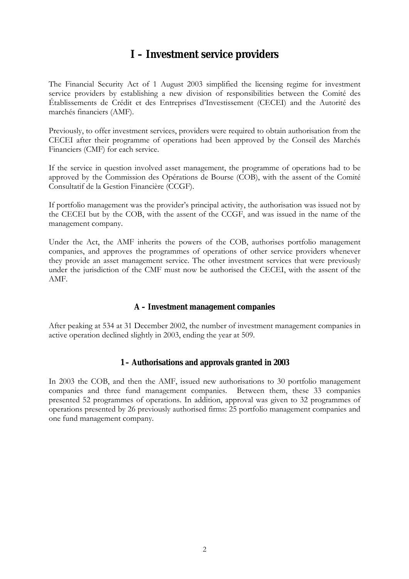## **I – Investment service providers**

The Financial Security Act of 1 August 2003 simplified the licensing regime for investment service providers by establishing a new division of responsibilities between the Comité des Établissements de Crédit et des Entreprises d'Investissement (CECEI) and the Autorité des marchés financiers (AMF).

Previously, to offer investment services, providers were required to obtain authorisation from the CECEI after their programme of operations had been approved by the Conseil des Marchés Financiers (CMF) for each service.

If the service in question involved asset management, the programme of operations had to be approved by the Commission des Opérations de Bourse (COB), with the assent of the Comité Consultatif de la Gestion Financière (CCGF).

If portfolio management was the provider's principal activity, the authorisation was issued not by the CECEI but by the COB, with the assent of the CCGF, and was issued in the name of the management company.

Under the Act, the AMF inherits the powers of the COB, authorises portfolio management companies, and approves the programmes of operations of other service providers whenever they provide an asset management service. The other investment services that were previously under the jurisdiction of the CMF must now be authorised the CECEI, with the assent of the AMF.

#### **A – Investment management companies**

After peaking at 534 at 31 December 2002, the number of investment management companies in active operation declined slightly in 2003, ending the year at 509.

#### **1 – Authorisations and approvals granted in 2003**

In 2003 the COB, and then the AMF, issued new authorisations to 30 portfolio management companies and three fund management companies. Between them, these 33 companies presented 52 programmes of operations. In addition, approval was given to 32 programmes of operations presented by 26 previously authorised firms: 25 portfolio management companies and one fund management company.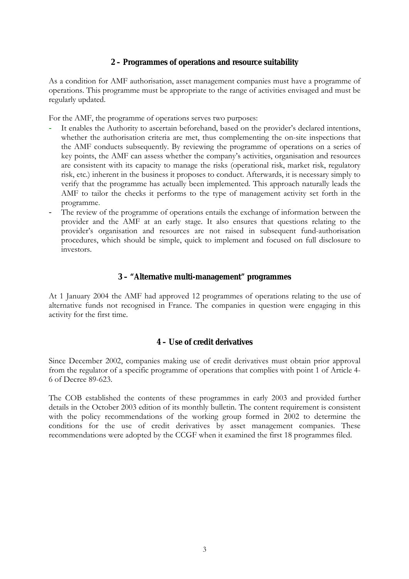#### **2 – Programmes of operations and resource suitability**

As a condition for AMF authorisation, asset management companies must have a programme of operations. This programme must be appropriate to the range of activities envisaged and must be regularly updated.

For the AMF, the programme of operations serves two purposes:

- It enables the Authority to ascertain beforehand, based on the provider's declared intentions, whether the authorisation criteria are met, thus complementing the on-site inspections that the AMF conducts subsequently. By reviewing the programme of operations on a series of key points, the AMF can assess whether the company's activities, organisation and resources are consistent with its capacity to manage the risks (operational risk, market risk, regulatory risk, etc.) inherent in the business it proposes to conduct. Afterwards, it is necessary simply to verify that the programme has actually been implemented. This approach naturally leads the AMF to tailor the checks it performs to the type of management activity set forth in the programme.
- The review of the programme of operations entails the exchange of information between the provider and the AMF at an early stage. It also ensures that questions relating to the provider's organisation and resources are not raised in subsequent fund-authorisation procedures, which should be simple, quick to implement and focused on full disclosure to investors.

#### **3 – "Alternative multi-management" programmes**

At 1 January 2004 the AMF had approved 12 programmes of operations relating to the use of alternative funds not recognised in France. The companies in question were engaging in this activity for the first time.

#### **4 – Use of credit derivatives**

Since December 2002, companies making use of credit derivatives must obtain prior approval from the regulator of a specific programme of operations that complies with point 1 of Article 4- 6 of Decree 89-623.

The COB established the contents of these programmes in early 2003 and provided further details in the October 2003 edition of its monthly bulletin. The content requirement is consistent with the policy recommendations of the working group formed in 2002 to determine the conditions for the use of credit derivatives by asset management companies. These recommendations were adopted by the CCGF when it examined the first 18 programmes filed.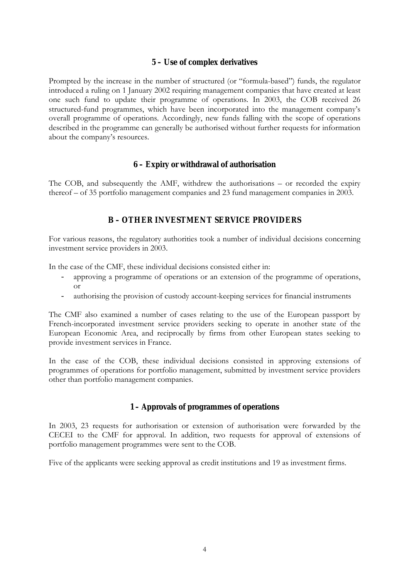#### **5 – Use of complex derivatives**

Prompted by the increase in the number of structured (or "formula-based") funds, the regulator introduced a ruling on 1 January 2002 requiring management companies that have created at least one such fund to update their programme of operations. In 2003, the COB received 26 structured-fund programmes, which have been incorporated into the management company's overall programme of operations. Accordingly, new funds falling with the scope of operations described in the programme can generally be authorised without further requests for information about the company's resources.

#### **6 – Expiry or withdrawal of authorisation**

The COB, and subsequently the AMF, withdrew the authorisations  $-$  or recorded the expiry thereof  $-$  of 35 portfolio management companies and 23 fund management companies in 2003.

## **B – OTHER INVESTMENT SERVICE PROVIDERS**

For various reasons, the regulatory authorities took a number of individual decisions concerning investment service providers in 2003.

In the case of the CMF, these individual decisions consisted either in:

- approving a programme of operations or an extension of the programme of operations, or
- authorising the provision of custody account-keeping services for financial instruments

The CMF also examined a number of cases relating to the use of the European passport by French-incorporated investment service providers seeking to operate in another state of the European Economic Area, and reciprocally by firms from other European states seeking to provide investment services in France.

In the case of the COB, these individual decisions consisted in approving extensions of programmes of operations for portfolio management, submitted by investment service providers other than portfolio management companies.

## **1 – Approvals of programmes of operations**

In 2003, 23 requests for authorisation or extension of authorisation were forwarded by the CECEI to the CMF for approval. In addition, two requests for approval of extensions of portfolio management programmes were sent to the COB.

Five of the applicants were seeking approval as credit institutions and 19 as investment firms.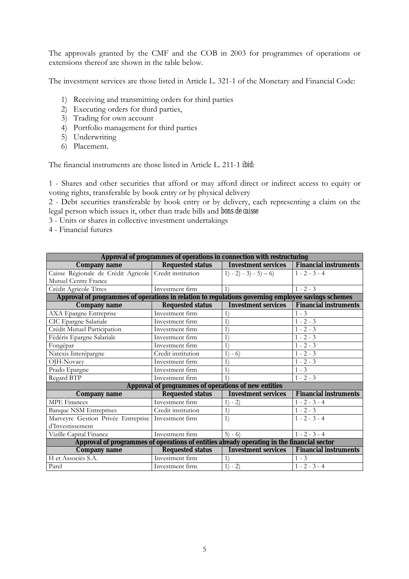The approvals granted by the CMF and the COB in 2003 for programmes of operations or extensions thereof are shown in the table below.

The investment services are those listed in Article L. 321-1 of the Monetary and Financial Code:

- 1) Receiving and transmitting orders for third parties
- 2) Executing orders for third parties,
- 3) Trading for own account
- 4) Portfolio management for third parties
- 5) Underwriting
- 6) Placement.

The financial instruments are those listed in Article L. 211-1 *ibid*:

1 - Shares and other securities that afford or may afford direct or indirect access to equity or voting rights, transferable by book entry or by physical delivery

2 - Debt securities transferable by book entry or by delivery, each representing a claim on the legal person which issues it, other than trade bills and *bons de caisse*

3 - Units or shares in collective investment undertakings

4 - Financial futures

| Approval of programmes of operations in connection with restructuring                              |                                                      |                            |                              |  |  |  |  |  |
|----------------------------------------------------------------------------------------------------|------------------------------------------------------|----------------------------|------------------------------|--|--|--|--|--|
| <b>Company name</b>                                                                                | <b>Requested status</b>                              | <b>Investment services</b> | <b>Financial instruments</b> |  |  |  |  |  |
| Caisse Régionale de Crédit Agricole Credit institution                                             |                                                      | $1) - 2) - 3) - 5) - 6$    | $1 - 2 - 3 - 4$              |  |  |  |  |  |
| Mutuel Centre France                                                                               |                                                      |                            |                              |  |  |  |  |  |
| Crédit Agricole Titres                                                                             | Investment firm                                      | 1)                         | $1 - 2 - 3$                  |  |  |  |  |  |
| Approval of programmes of operations in relation to regulations governing employee savings schemes |                                                      |                            |                              |  |  |  |  |  |
| <b>Company name</b>                                                                                | <b>Requested status</b>                              | <b>Investment services</b> | <b>Financial instruments</b> |  |  |  |  |  |
| <b>AXA</b> Epargne Entreprise                                                                      | Investment firm                                      | $1^{\circ}$                | $1 - 3$                      |  |  |  |  |  |
| CIC Epargne Salariale                                                                              | Investment firm                                      | $\left  \right $           | $1 - 2 - 3$                  |  |  |  |  |  |
| Crédit Mutuel Participation                                                                        | Investment firm                                      | 1)                         | $1 - 2 - 3$                  |  |  |  |  |  |
| Fédéris Epargne Salariale                                                                          | Investment firm                                      | 1)                         | $1 - 2 - 3$                  |  |  |  |  |  |
| Fongépar                                                                                           | Investment firm                                      | 1)                         | $1 - 2 - 3$                  |  |  |  |  |  |
| Natexis Interépargne                                                                               | Credit institution                                   | 1)<br>$-6$                 | $1 - 2 - 3$                  |  |  |  |  |  |
| OJH-Novacy                                                                                         | Investment firm                                      | 1)                         | $1 - 2 - 3$                  |  |  |  |  |  |
| Prado Epargne                                                                                      | Investment firm                                      | 1)                         | $1 - 3$                      |  |  |  |  |  |
| Regard BTP                                                                                         | Investment firm                                      | 1)                         | $1 - 2 - 3$                  |  |  |  |  |  |
|                                                                                                    | Approval of programmes of operations of new entities |                            |                              |  |  |  |  |  |
| <b>Company name</b>                                                                                | <b>Requested status</b>                              | <b>Investment services</b> | <b>Financial instruments</b> |  |  |  |  |  |
| <b>MPE</b> Finances                                                                                | Investment firm                                      | $1) - 2)$                  | $1 - 2 - 3 - 4$              |  |  |  |  |  |
| <b>Banque NSM Entreprises</b>                                                                      | Credit institution                                   | 1)                         | $1 - 2 - 3$                  |  |  |  |  |  |
| Marveyre Gestion Privée Entreprise                                                                 | Investment firm                                      | 1)                         | $1 - 2 - 3 - 4$              |  |  |  |  |  |
| d'Investissement                                                                                   |                                                      |                            |                              |  |  |  |  |  |
| Vizille Capital Finance                                                                            | Investment firm                                      | $5) - 6)$                  | $1 - 2 - 3 - 4$              |  |  |  |  |  |
| Approval of programmes of operations of entities already operating in the financial sector         |                                                      |                            |                              |  |  |  |  |  |
| <b>Company name</b>                                                                                | <b>Requested status</b>                              | <b>Investment services</b> | <b>Financial instruments</b> |  |  |  |  |  |
| H et Associés S.A.                                                                                 | Investment firm                                      | $\left(1\right)$           | $1 - 3$                      |  |  |  |  |  |
| Parel                                                                                              | Investment firm                                      | $1) - 2)$                  | $1 - 2 - 3 - 4$              |  |  |  |  |  |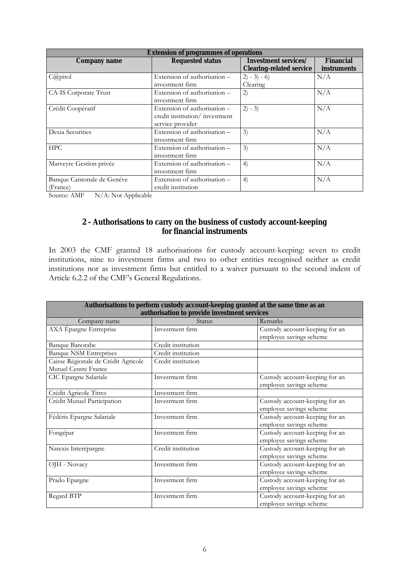| <b>Extension of programmes of operations</b> |                               |                                 |                  |  |  |  |  |
|----------------------------------------------|-------------------------------|---------------------------------|------------------|--|--|--|--|
| <b>Company name</b>                          | <b>Requested status</b>       | Investment services/            | <b>Financial</b> |  |  |  |  |
|                                              |                               | <b>Clearing-related service</b> | instruments      |  |  |  |  |
| $C(\partial \rho)$ itol                      | Extension of authorisation -  | $2) - 3) - 6$                   | N/A              |  |  |  |  |
|                                              | investment firm               | Clearing                        |                  |  |  |  |  |
| CA-IS Corporate Trust                        | Extension of authorisation -  | 2)                              | N/A              |  |  |  |  |
|                                              | investment firm               |                                 |                  |  |  |  |  |
| Crédit Coopératif                            | Extension of authorisation -  | $2) - 3)$                       | N/A              |  |  |  |  |
|                                              | credit institution/investment |                                 |                  |  |  |  |  |
|                                              | service provider              |                                 |                  |  |  |  |  |
| Dexia Securities                             | Extension of authorisation -  | 3)                              | N/A              |  |  |  |  |
|                                              | investment firm               |                                 |                  |  |  |  |  |
| <b>HPC</b>                                   | Extension of authorisation -  | 3)                              | N/A              |  |  |  |  |
|                                              | investment firm               |                                 |                  |  |  |  |  |
| Marveyre Gestion privée                      | Extension of authorisation -  | 4)                              | N/A              |  |  |  |  |
|                                              | investment firm               |                                 |                  |  |  |  |  |
| Banque Cantonale de Genève                   | Extension of authorisation -  | 4)                              | N/A              |  |  |  |  |
| (France)                                     | credit institution            |                                 |                  |  |  |  |  |

Source: AMF N/A: Not Applicable

#### **2 - Authorisations to carry on the business of custody account-keeping for financial instruments**

In 2003 the CMF granted 18 authorisations for custody account-keeping: seven to credit institutions, nine to investment firms and two to other entities recognised neither as credit institutions nor as investment firms but entitled to a waiver pursuant to the second indent of Article 6.2.2 of the CMF's General Regulations.

| Authorisations to perform custody account-keeping granted at the same time as an<br>authorisation to provide investment services |                    |                                                           |  |  |  |  |
|----------------------------------------------------------------------------------------------------------------------------------|--------------------|-----------------------------------------------------------|--|--|--|--|
| Company name                                                                                                                     | <b>Status</b>      | Remarks                                                   |  |  |  |  |
| AXA Épargne Entreprise                                                                                                           | Investment firm    | Custody account-keeping for an<br>employee savings scheme |  |  |  |  |
| <b>Banque Banorabe</b>                                                                                                           | Credit institution |                                                           |  |  |  |  |
| <b>Banque NSM Entreprises</b>                                                                                                    | Credit institution |                                                           |  |  |  |  |
| Caisse Régionale de Crédit Agricole<br>Mutuel Centre France                                                                      | Credit institution |                                                           |  |  |  |  |
| CIC Epargne Salariale                                                                                                            | Investment firm    | Custody account-keeping for an<br>employee savings scheme |  |  |  |  |
| Crédit Agricole Titres                                                                                                           | Investment firm    |                                                           |  |  |  |  |
| Crédit Mutuel Participation                                                                                                      | Investment firm    | Custody account-keeping for an<br>employee savings scheme |  |  |  |  |
| Fédéris Epargne Salariale                                                                                                        | Investment firm    | Custody account-keeping for an<br>employee savings scheme |  |  |  |  |
| Fongépar                                                                                                                         | Investment firm    | Custody account-keeping for an<br>employee savings scheme |  |  |  |  |
| Natexis Interépargne                                                                                                             | Credit institution | Custody account-keeping for an<br>employee savings scheme |  |  |  |  |
| OJH - Novacy                                                                                                                     | Investment firm    | Custody account-keeping for an<br>employee savings scheme |  |  |  |  |
| Prado Epargne                                                                                                                    | Investment firm    | Custody account-keeping for an<br>employee savings scheme |  |  |  |  |
| Regard BTP                                                                                                                       | Investment firm    | Custody account-keeping for an<br>employee savings scheme |  |  |  |  |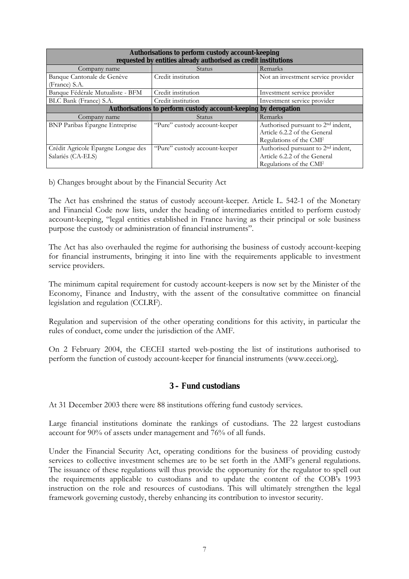| Authorisations to perform custody account-keeping<br>requested by entities already authorised as credit institutions |                                                                 |                                                |  |  |  |  |  |
|----------------------------------------------------------------------------------------------------------------------|-----------------------------------------------------------------|------------------------------------------------|--|--|--|--|--|
| Company name                                                                                                         | <b>Status</b>                                                   | Remarks                                        |  |  |  |  |  |
| Banque Cantonale de Genève                                                                                           | Credit institution                                              | Not an investment service provider             |  |  |  |  |  |
| (France) S.A.                                                                                                        |                                                                 |                                                |  |  |  |  |  |
| Banque Fédérale Mutualiste - BFM                                                                                     | Credit institution                                              | Investment service provider                    |  |  |  |  |  |
| BLC Bank (France) S.A.                                                                                               | Credit institution                                              | Investment service provider                    |  |  |  |  |  |
|                                                                                                                      | Authorisations to perform custody account-keeping by derogation |                                                |  |  |  |  |  |
| Company name                                                                                                         | <b>Status</b>                                                   | Remarks                                        |  |  |  |  |  |
| BNP Paribas Épargne Entreprise                                                                                       | "Pure" custody account-keeper                                   | Authorised pursuant to 2 <sup>nd</sup> indent, |  |  |  |  |  |
|                                                                                                                      |                                                                 | Article 6.2.2 of the General                   |  |  |  |  |  |
|                                                                                                                      |                                                                 | Regulations of the CMF                         |  |  |  |  |  |
| Crédit Agricole Épargne Longue des                                                                                   | "Pure" custody account-keeper                                   | Authorised pursuant to 2 <sup>nd</sup> indent, |  |  |  |  |  |
| Salariés (CA-ELS)                                                                                                    |                                                                 | Article 6.2.2 of the General                   |  |  |  |  |  |
|                                                                                                                      |                                                                 | Regulations of the CMF                         |  |  |  |  |  |

b) Changes brought about by the Financial Security Act

The Act has enshrined the status of custody account-keeper. Article L. 542-1 of the Monetary and Financial Code now lists, under the heading of intermediaries entitled to perform custody account-keeping, "legal entities established in France having as their principal or sole business purpose the custody or administration of financial instruments".

The Act has also overhauled the regime for authorising the business of custody account-keeping for financial instruments, bringing it into line with the requirements applicable to investment service providers.

The minimum capital requirement for custody account-keepers is now set by the Minister of the Economy, Finance and Industry, with the assent of the consultative committee on financial legislation and regulation (CCLRF).

Regulation and supervision of the other operating conditions for this activity, in particular the rules of conduct, come under the jurisdiction of the AMF.

On 2 February 2004, the CECEI started web-posting the list of institutions authorised to perform the function of custody account-keeper for financial instruments (www.cecei.org).

#### **3 – Fund custodians**

At 31 December 2003 there were 88 institutions offering fund custody services.

Large financial institutions dominate the rankings of custodians. The 22 largest custodians account for 90% of assets under management and 76% of all funds.

Under the Financial Security Act, operating conditions for the business of providing custody services to collective investment schemes are to be set forth in the AMF's general regulations. The issuance of these regulations will thus provide the opportunity for the regulator to spell out the requirements applicable to custodians and to update the content of the COBís 1993 instruction on the role and resources of custodians. This will ultimately strengthen the legal framework governing custody, thereby enhancing its contribution to investor security.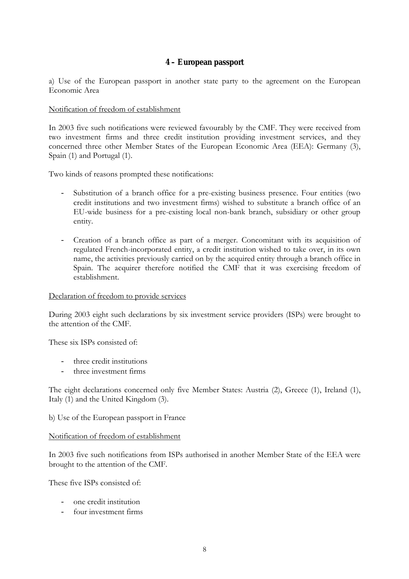#### **4 – European passport**

a) Use of the European passport in another state party to the agreement on the European Economic Area

#### Notification of freedom of establishment

In 2003 five such notifications were reviewed favourably by the CMF. They were received from two investment firms and three credit institution providing investment services, and they concerned three other Member States of the European Economic Area (EEA): Germany (3), Spain (1) and Portugal (1).

Two kinds of reasons prompted these notifications:

- Substitution of a branch office for a pre-existing business presence. Four entities (two credit institutions and two investment firms) wished to substitute a branch office of an EU-wide business for a pre-existing local non-bank branch, subsidiary or other group entity.
- Creation of a branch office as part of a merger. Concomitant with its acquisition of regulated French-incorporated entity, a credit institution wished to take over, in its own name, the activities previously carried on by the acquired entity through a branch office in Spain. The acquirer therefore notified the CMF that it was exercising freedom of establishment.

#### Declaration of freedom to provide services

During 2003 eight such declarations by six investment service providers (ISPs) were brought to the attention of the CMF.

These six ISPs consisted of:

- three credit institutions
- three investment firms

The eight declarations concerned only five Member States: Austria (2), Greece (1), Ireland (1), Italy (1) and the United Kingdom (3).

#### b) Use of the European passport in France

#### Notification of freedom of establishment

In 2003 five such notifications from ISPs authorised in another Member State of the EEA were brought to the attention of the CMF.

These five ISPs consisted of:

- one credit institution
- four investment firms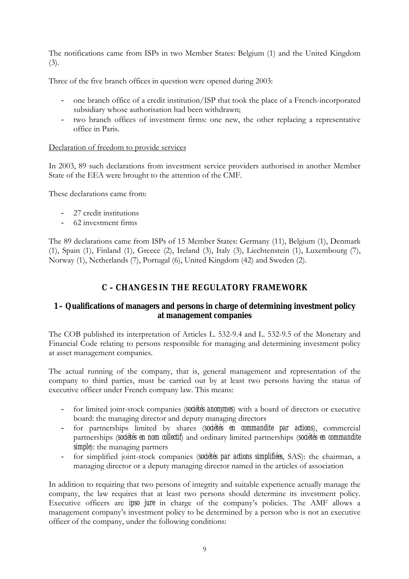The notifications came from ISPs in two Member States: Belgium (1) and the United Kingdom (3).

Three of the five branch offices in question were opened during 2003:

- one branch office of a credit institution/ISP that took the place of a French-incorporated subsidiary whose authorisation had been withdrawn;
- two branch offices of investment firms: one new, the other replacing a representative office in Paris.

#### Declaration of freedom to provide services

In 2003, 89 such declarations from investment service providers authorised in another Member State of the EEA were brought to the attention of the CMF.

These declarations came from:

- 27 credit institutions
- 62 investment firms

The 89 declarations came from ISPs of 15 Member States: Germany (11), Belgium (1), Denmark (1), Spain (1), Finland (1), Greece (2), Ireland (3), Italy (3), Liechtenstein (1), Luxembourg (7), Norway (1), Netherlands (7), Portugal (6), United Kingdom (42) and Sweden (2).

## **C – CHANGES IN THE REGULATORY FRAMEWORK**

## **1 – Qualifications of managers and persons in charge of determining investment policy at management companies**

The COB published its interpretation of Articles L. 532-9.4 and L. 532-9.5 of the Monetary and Financial Code relating to persons responsible for managing and determining investment policy at asset management companies.

The actual running of the company, that is, general management and representation of the company to third parties, must be carried out by at least two persons having the status of executive officer under French company law. This means:

- for limited joint-stock companies (*sociétés anonymes*) with a board of directors or executive board: the managing director and deputy managing directors
- for partnerships limited by shares (*sociétés en commandite par actions*), commercial partnerships (*sociétés en nom collectif*) and ordinary limited partnerships (*sociétés en commandite simple*): the managing partners
- for simplified joint-stock companies (*sociétés par actions simplifiées*, SAS): the chairman, a managing director or a deputy managing director named in the articles of association

In addition to requiring that two persons of integrity and suitable experience actually manage the company, the law requires that at least two persons should determine its investment policy. Executive officers are *ipso jure* in charge of the company's policies. The AMF allows a management company's investment policy to be determined by a person who is not an executive officer of the company, under the following conditions: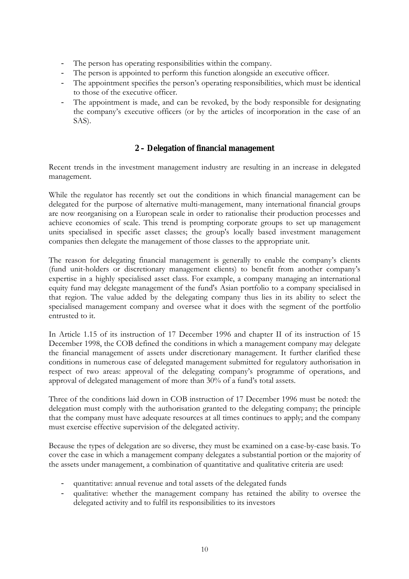- The person has operating responsibilities within the company.
- The person is appointed to perform this function alongside an executive officer.
- The appointment specifies the person's operating responsibilities, which must be identical to those of the executive officer.
- The appointment is made, and can be revoked, by the body responsible for designating the companyís executive officers (or by the articles of incorporation in the case of an SAS).

#### **2 – Delegation of financial management**

Recent trends in the investment management industry are resulting in an increase in delegated management.

While the regulator has recently set out the conditions in which financial management can be delegated for the purpose of alternative multi-management, many international financial groups are now reorganising on a European scale in order to rationalise their production processes and achieve economies of scale. This trend is prompting corporate groups to set up management units specialised in specific asset classes; the group's locally based investment management companies then delegate the management of those classes to the appropriate unit.

The reason for delegating financial management is generally to enable the company's clients (fund unit-holders or discretionary management clients) to benefit from another companyís expertise in a highly specialised asset class. For example, a company managing an international equity fund may delegate management of the fund's Asian portfolio to a company specialised in that region. The value added by the delegating company thus lies in its ability to select the specialised management company and oversee what it does with the segment of the portfolio entrusted to it.

In Article 1.15 of its instruction of 17 December 1996 and chapter II of its instruction of 15 December 1998, the COB defined the conditions in which a management company may delegate the financial management of assets under discretionary management. It further clarified these conditions in numerous case of delegated management submitted for regulatory authorisation in respect of two areas: approval of the delegating companyís programme of operations, and approval of delegated management of more than 30% of a fund's total assets.

Three of the conditions laid down in COB instruction of 17 December 1996 must be noted: the delegation must comply with the authorisation granted to the delegating company; the principle that the company must have adequate resources at all times continues to apply; and the company must exercise effective supervision of the delegated activity.

Because the types of delegation are so diverse, they must be examined on a case-by-case basis. To cover the case in which a management company delegates a substantial portion or the majority of the assets under management, a combination of quantitative and qualitative criteria are used:

- quantitative: annual revenue and total assets of the delegated funds
- qualitative: whether the management company has retained the ability to oversee the delegated activity and to fulfil its responsibilities to its investors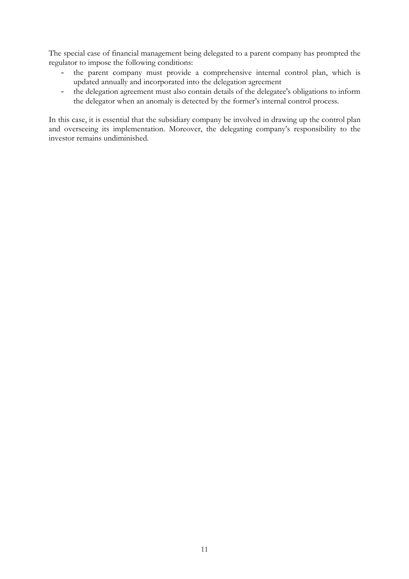The special case of financial management being delegated to a parent company has prompted the regulator to impose the following conditions:

- the parent company must provide a comprehensive internal control plan, which is updated annually and incorporated into the delegation agreement
- the delegation agreement must also contain details of the delegatee's obligations to inform the delegator when an anomaly is detected by the former's internal control process.

In this case, it is essential that the subsidiary company be involved in drawing up the control plan and overseeing its implementation. Moreover, the delegating company's responsibility to the investor remains undiminished.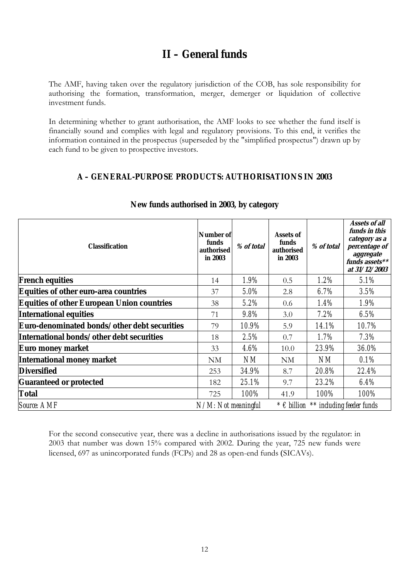## **II – General funds**

The AMF, having taken over the regulatory jurisdiction of the COB, has sole responsibility for authorising the formation, transformation, merger, demerger or liquidation of collective investment funds.

In determining whether to grant authorisation, the AMF looks to see whether the fund itself is financially sound and complies with legal and regulatory provisions. To this end, it verifies the information contained in the prospectus (superseded by the "simplified prospectus") drawn up by each fund to be given to prospective investors.

## **A – GENERAL-PURPOSE PRODUCTS: AUTHORISATIONS IN 2003**

| <b>Classification</b>                             | Number of<br>funds<br>authorised<br>in 2003 | % of total | <b>Assets of</b><br>funds<br>authorised<br>in 2003 | % of total | <b>Assets of all</b><br>funds in this<br>category as a<br>percentage of<br>aggregate<br>funds assets**<br>at 31/12/2003 |  |
|---------------------------------------------------|---------------------------------------------|------------|----------------------------------------------------|------------|-------------------------------------------------------------------------------------------------------------------------|--|
| <b>French equities</b>                            | 14                                          | 1.9%       | 0.5                                                | $1.2\%$    | 5.1%                                                                                                                    |  |
| Equities of other euro-area countries             | 37                                          | 5.0%       | 2.8                                                | 6.7%       | $3.5\%$                                                                                                                 |  |
| <b>Equities of other European Union countries</b> | 38                                          | $5.2\%$    | 0.6                                                | $1.4\%$    | $1.9\%$                                                                                                                 |  |
| <b>International equities</b>                     | 71                                          | $9.8\%$    | 3.0                                                | $7.2\%$    | $6.5\%$                                                                                                                 |  |
| Euro-denominated bonds/other debt securities      | 79                                          | 10.9%      | 5.9                                                | 14.1%      | 10.7%                                                                                                                   |  |
| International bonds/other debt securities         | 18                                          | 2.5%       | 0.7                                                | 1.7%       | 7.3%                                                                                                                    |  |
| Euro money market                                 | 33                                          | $4.6\%$    | 10.0                                               | 23.9%      | 36.0%                                                                                                                   |  |
| <b>International money market</b>                 | NM                                          | NM         | NM                                                 | NM         | $0.1\%$                                                                                                                 |  |
| <b>Diversified</b>                                | 253                                         | 34.9%      | 8.7                                                | 20.8%      | 22.4%                                                                                                                   |  |
| <b>Guaranteed or protected</b>                    | 182                                         | 25.1%      | 9.7                                                | 23.2%      | $6.4\%$                                                                                                                 |  |
| <b>Total</b>                                      | 725                                         | 100%       | 41.9                                               | 100%       | 100%                                                                                                                    |  |
| <b>Source: AMF</b>                                | N/M: Not meaningful                         |            | $* \epsilon$ billion $**$ including feeder funds   |            |                                                                                                                         |  |

#### **New funds authorised in 2003, by category**

For the second consecutive year, there was a decline in authorisations issued by the regulator: in 2003 that number was down 15% compared with 2002. During the year, 725 new funds were licensed, 697 as unincorporated funds (FCPs) and 28 as open-end funds (SICAVs).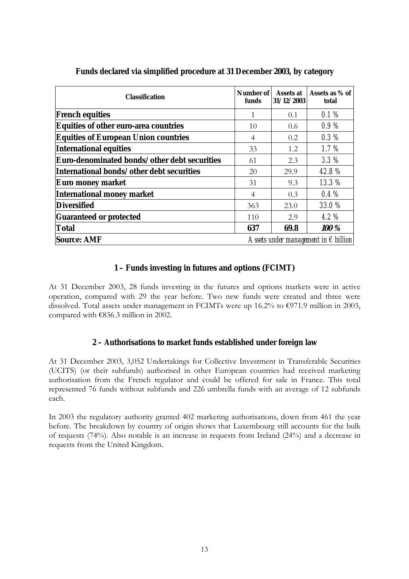| <b>Classification</b>                        | Number of<br>funds                            | <b>Assets at</b><br>31/12/2003 | Assets as % of<br>total |  |
|----------------------------------------------|-----------------------------------------------|--------------------------------|-------------------------|--|
| <b>French equities</b>                       | 1                                             | 0.1                            | 0.1%                    |  |
| <b>Equities of other euro-area countries</b> | 10                                            | 0.6                            | $0.9\,\%$               |  |
| <b>Equities of European Union countries</b>  | 4                                             | 0.2                            | 0.3%                    |  |
| <b>International equities</b>                | 33                                            | 1.2                            | $1.7\%$                 |  |
| Euro-denominated bonds/other debt securities | 61                                            | 2.3                            | $3.3\%$                 |  |
| International bonds/other debt securities    | 20                                            | 29.9                           | 42.8%                   |  |
| Euro money market                            | 31                                            | 9.3                            | 13.3%                   |  |
| <b>International money market</b>            | 4                                             | 0.3                            | 0.4%                    |  |
| <b>Diversified</b>                           | 363                                           | 23.0                           | <b>33.0%</b>            |  |
| <b>Guaranteed or protected</b>               | 110                                           | 2.9                            | $4.2\%$                 |  |
| <b>Total</b>                                 | 637                                           | 69.8                           | 100 %                   |  |
| <b>Source: AMF</b>                           | Assets under management in $\epsilon$ billion |                                |                         |  |

**Funds declared via simplified procedure at 31 December 2003, by category**

#### **1 – Funds investing in futures and options (FCIMT)**

At 31 December 2003, 28 funds investing in the futures and options markets were in active operation, compared with 29 the year before. Two new funds were created and three were dissolved. Total assets under management in FCIMTs were up 16.2% to  $\epsilon$ 971.9 million in 2003, compared with  $€836.3$  million in 2002.

#### **2 – Authorisations to market funds established under foreign law**

At 31 December 2003, 3,052 Undertakings for Collective Investment in Transferable Securities (UCITS) (or their subfunds) authorised in other European countries had received marketing authorisation from the French regulator and could be offered for sale in France. This total represented 76 funds without subfunds and 226 umbrella funds with an average of 12 subfunds each.

In 2003 the regulatory authority granted 402 marketing authorisations, down from 461 the year before. The breakdown by country of origin shows that Luxembourg still accounts for the bulk of requests (74%). Also notable is an increase in requests from Ireland (24%) and a decrease in requests from the United Kingdom.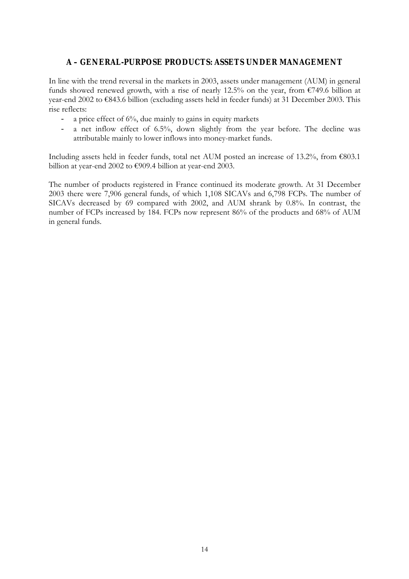### **A – GENERAL-PURPOSE PRODUCTS: ASSETS UNDER MANAGEMENT**

In line with the trend reversal in the markets in 2003, assets under management (AUM) in general funds showed renewed growth, with a rise of nearly 12.5% on the year, from  $\epsilon$ 749.6 billion at year-end 2002 to  $\epsilon$ 843.6 billion (excluding assets held in feeder funds) at 31 December 2003. This rise reflects:

- a price effect of 6%, due mainly to gains in equity markets
- a net inflow effect of 6.5%, down slightly from the year before. The decline was attributable mainly to lower inflows into money-market funds.

Including assets held in feeder funds, total net AUM posted an increase of 13.2%, from  $\epsilon$ 803.1 billion at year-end 2002 to  $€909.4$  billion at year-end 2003.

The number of products registered in France continued its moderate growth. At 31 December 2003 there were 7,906 general funds, of which 1,108 SICAVs and 6,798 FCPs. The number of SICAVs decreased by 69 compared with 2002, and AUM shrank by 0.8%. In contrast, the number of FCPs increased by 184. FCPs now represent 86% of the products and 68% of AUM in general funds.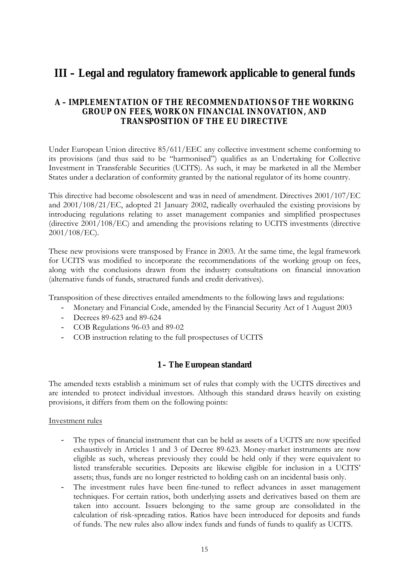## **III – Legal and regulatory framework applicable to general funds**

### **A – IMPLEMENTATION OF THE RECOMMENDATIONS OF THE WORKING GROUP ON FEES, WORK ON FINANCIAL INNOVATION, AND TRANSPOSITION OF THE EU DIRECTIVE**

Under European Union directive 85/611/EEC any collective investment scheme conforming to its provisions (and thus said to be "harmonised") qualifies as an Undertaking for Collective Investment in Transferable Securities (UCITS). As such, it may be marketed in all the Member States under a declaration of conformity granted by the national regulator of its home country.

This directive had become obsolescent and was in need of amendment. Directives 2001/107/EC and 2001/108/21/EC, adopted 21 January 2002, radically overhauled the existing provisions by introducing regulations relating to asset management companies and simplified prospectuses (directive 2001/108/EC) and amending the provisions relating to UCITS investments (directive 2001/108/EC).

These new provisions were transposed by France in 2003. At the same time, the legal framework for UCITS was modified to incorporate the recommendations of the working group on fees, along with the conclusions drawn from the industry consultations on financial innovation (alternative funds of funds, structured funds and credit derivatives).

Transposition of these directives entailed amendments to the following laws and regulations:

- Monetary and Financial Code, amended by the Financial Security Act of 1 August 2003
- Decrees 89-623 and 89-624
- COB Regulations 96-03 and 89-02
- COB instruction relating to the full prospectuses of UCITS

#### **1 – The European standard**

The amended texts establish a minimum set of rules that comply with the UCITS directives and are intended to protect individual investors. Although this standard draws heavily on existing provisions, it differs from them on the following points:

#### Investment rules

- The types of financial instrument that can be held as assets of a UCITS are now specified exhaustively in Articles 1 and 3 of Decree 89-623. Money-market instruments are now eligible as such, whereas previously they could be held only if they were equivalent to listed transferable securities. Deposits are likewise eligible for inclusion in a UCITS' assets; thus, funds are no longer restricted to holding cash on an incidental basis only.
- The investment rules have been fine-tuned to reflect advances in asset management techniques. For certain ratios, both underlying assets and derivatives based on them are taken into account. Issuers belonging to the same group are consolidated in the calculation of risk-spreading ratios. Ratios have been introduced for deposits and funds of funds. The new rules also allow index funds and funds of funds to qualify as UCITS.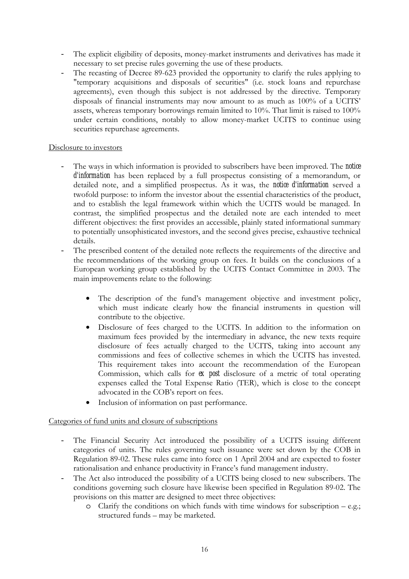- The explicit eligibility of deposits, money-market instruments and derivatives has made it necessary to set precise rules governing the use of these products.
- The recasting of Decree 89-623 provided the opportunity to clarify the rules applying to "temporary acquisitions and disposals of securities" (i.e. stock loans and repurchase agreements), even though this subject is not addressed by the directive. Temporary disposals of financial instruments may now amount to as much as 100% of a UCITS' assets, whereas temporary borrowings remain limited to 10%. That limit is raised to 100% under certain conditions, notably to allow money-market UCITS to continue using securities repurchase agreements.

#### Disclosure to investors

- The ways in which information is provided to subscribers have been improved. The **notice** *d'information* has been replaced by a full prospectus consisting of a memorandum, or detailed note, and a simplified prospectus. As it was, the *notice d'information* served a twofold purpose: to inform the investor about the essential characteristics of the product, and to establish the legal framework within which the UCITS would be managed. In contrast, the simplified prospectus and the detailed note are each intended to meet different objectives: the first provides an accessible, plainly stated informational summary to potentially unsophisticated investors, and the second gives precise, exhaustive technical details.
- The prescribed content of the detailed note reflects the requirements of the directive and the recommendations of the working group on fees. It builds on the conclusions of a European working group established by the UCITS Contact Committee in 2003. The main improvements relate to the following:
	- The description of the fund's management objective and investment policy, which must indicate clearly how the financial instruments in question will contribute to the objective.
	- Disclosure of fees charged to the UCITS. In addition to the information on maximum fees provided by the intermediary in advance, the new texts require disclosure of fees actually charged to the UCITS, taking into account any commissions and fees of collective schemes in which the UCITS has invested. This requirement takes into account the recommendation of the European Commission, which calls for *ex post* disclosure of a metric of total operating expenses called the Total Expense Ratio (TER), which is close to the concept advocated in the COB's report on fees.
	- Inclusion of information on past performance.

#### Categories of fund units and closure of subscriptions

- The Financial Security Act introduced the possibility of a UCITS issuing different categories of units. The rules governing such issuance were set down by the COB in Regulation 89-02. These rules came into force on 1 April 2004 and are expected to foster rationalisation and enhance productivity in France's fund management industry.
- The Act also introduced the possibility of a UCITS being closed to new subscribers. The conditions governing such closure have likewise been specified in Regulation 89-02. The provisions on this matter are designed to meet three objectives:
	- $\circ$  Clarify the conditions on which funds with time windows for subscription e.g.; structured funds - may be marketed.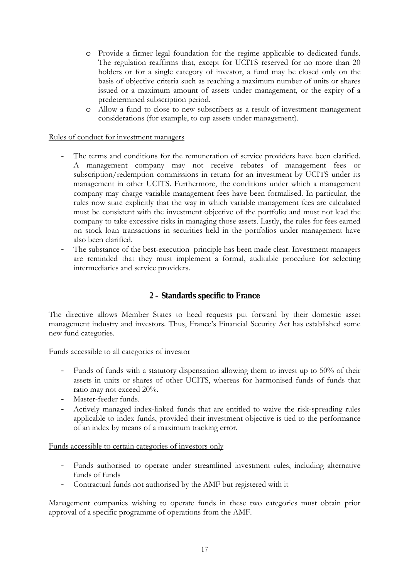- o Provide a firmer legal foundation for the regime applicable to dedicated funds. The regulation reaffirms that, except for UCITS reserved for no more than 20 holders or for a single category of investor, a fund may be closed only on the basis of objective criteria such as reaching a maximum number of units or shares issued or a maximum amount of assets under management, or the expiry of a predetermined subscription period.
- o Allow a fund to close to new subscribers as a result of investment management considerations (for example, to cap assets under management).

#### Rules of conduct for investment managers

- The terms and conditions for the remuneration of service providers have been clarified. A management company may not receive rebates of management fees or subscription/redemption commissions in return for an investment by UCITS under its management in other UCITS. Furthermore, the conditions under which a management company may charge variable management fees have been formalised. In particular, the rules now state explicitly that the way in which variable management fees are calculated must be consistent with the investment objective of the portfolio and must not lead the company to take excessive risks in managing those assets. Lastly, the rules for fees earned on stock loan transactions in securities held in the portfolios under management have also been clarified.
- The substance of the best-execution principle has been made clear. Investment managers are reminded that they must implement a formal, auditable procedure for selecting intermediaries and service providers.

#### **2 – Standards specific to France**

The directive allows Member States to heed requests put forward by their domestic asset management industry and investors. Thus, France's Financial Security Act has established some new fund categories.

Funds accessible to all categories of investor

- Funds of funds with a statutory dispensation allowing them to invest up to 50% of their assets in units or shares of other UCITS, whereas for harmonised funds of funds that ratio may not exceed 20%.
- Master-feeder funds.
- Actively managed index-linked funds that are entitled to waive the risk-spreading rules applicable to index funds, provided their investment objective is tied to the performance of an index by means of a maximum tracking error.

#### Funds accessible to certain categories of investors only

- Funds authorised to operate under streamlined investment rules, including alternative funds of funds
- Contractual funds not authorised by the AMF but registered with it

Management companies wishing to operate funds in these two categories must obtain prior approval of a specific programme of operations from the AMF.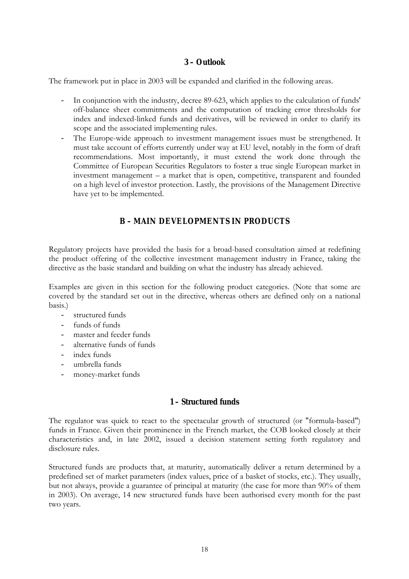### **3 – Outlook**

The framework put in place in 2003 will be expanded and clarified in the following areas.

- In conjunction with the industry, decree 89-623, which applies to the calculation of funds' off-balance sheet commitments and the computation of tracking error thresholds for index and indexed-linked funds and derivatives, will be reviewed in order to clarify its scope and the associated implementing rules.
- The Europe-wide approach to investment management issues must be strengthened. It must take account of efforts currently under way at EU level, notably in the form of draft recommendations. Most importantly, it must extend the work done through the Committee of European Securities Regulators to foster a true single European market in investment management  $-$  a market that is open, competitive, transparent and founded on a high level of investor protection. Lastly, the provisions of the Management Directive have yet to be implemented.

## **B – MAIN DEVELOPMENTS IN PRODUCTS**

Regulatory projects have provided the basis for a broad-based consultation aimed at redefining the product offering of the collective investment management industry in France, taking the directive as the basic standard and building on what the industry has already achieved.

Examples are given in this section for the following product categories. (Note that some are covered by the standard set out in the directive, whereas others are defined only on a national basis.)

- structured funds
- funds of funds
- master and feeder funds
- alternative funds of funds
- index funds
- umbrella funds
- money-market funds

#### **1 – Structured funds**

The regulator was quick to react to the spectacular growth of structured (or "formula-based") funds in France. Given their prominence in the French market, the COB looked closely at their characteristics and, in late 2002, issued a decision statement setting forth regulatory and disclosure rules.

Structured funds are products that, at maturity, automatically deliver a return determined by a predefined set of market parameters (index values, price of a basket of stocks, etc.). They usually, but not always, provide a guarantee of principal at maturity (the case for more than 90% of them in 2003). On average, 14 new structured funds have been authorised every month for the past two years.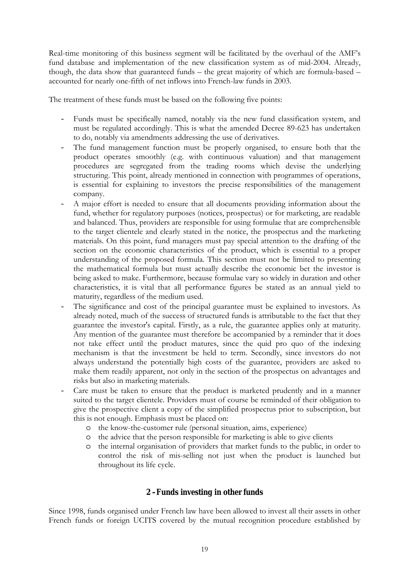Real-time monitoring of this business segment will be facilitated by the overhaul of the AMF's fund database and implementation of the new classification system as of mid-2004. Already, though, the data show that guaranteed funds  $-$  the great majority of which are formula-based  $$ accounted for nearly one-fifth of net inflows into French-law funds in 2003.

The treatment of these funds must be based on the following five points:

- Funds must be specifically named, notably via the new fund classification system, and must be regulated accordingly. This is what the amended Decree 89-623 has undertaken to do, notably via amendments addressing the use of derivatives.
- The fund management function must be properly organised, to ensure both that the product operates smoothly (e.g. with continuous valuation) and that management procedures are segregated from the trading rooms which devise the underlying structuring. This point, already mentioned in connection with programmes of operations, is essential for explaining to investors the precise responsibilities of the management company.
- A major effort is needed to ensure that all documents providing information about the fund, whether for regulatory purposes (notices, prospectus) or for marketing, are readable and balanced. Thus, providers are responsible for using formulae that are comprehensible to the target clientele and clearly stated in the notice, the prospectus and the marketing materials. On this point, fund managers must pay special attention to the drafting of the section on the economic characteristics of the product, which is essential to a proper understanding of the proposed formula. This section must not be limited to presenting the mathematical formula but must actually describe the economic bet the investor is being asked to make. Furthermore, because formulae vary so widely in duration and other characteristics, it is vital that all performance figures be stated as an annual yield to maturity, regardless of the medium used.
- The significance and cost of the principal guarantee must be explained to investors. As already noted, much of the success of structured funds is attributable to the fact that they guarantee the investor's capital. Firstly, as a rule, the guarantee applies only at maturity. Any mention of the guarantee must therefore be accompanied by a reminder that it does not take effect until the product matures, since the quid pro quo of the indexing mechanism is that the investment be held to term. Secondly, since investors do not always understand the potentially high costs of the guarantee, providers are asked to make them readily apparent, not only in the section of the prospectus on advantages and risks but also in marketing materials.
- Care must be taken to ensure that the product is marketed prudently and in a manner suited to the target clientele. Providers must of course be reminded of their obligation to give the prospective client a copy of the simplified prospectus prior to subscription, but this is not enough. Emphasis must be placed on:
	- o the know-the-customer rule (personal situation, aims, experience)
	- o the advice that the person responsible for marketing is able to give clients
	- o the internal organisation of providers that market funds to the public, in order to control the risk of mis-selling not just when the product is launched but throughout its life cycle.

#### **2 –Funds investing in other funds**

Since 1998, funds organised under French law have been allowed to invest all their assets in other French funds or foreign UCITS covered by the mutual recognition procedure established by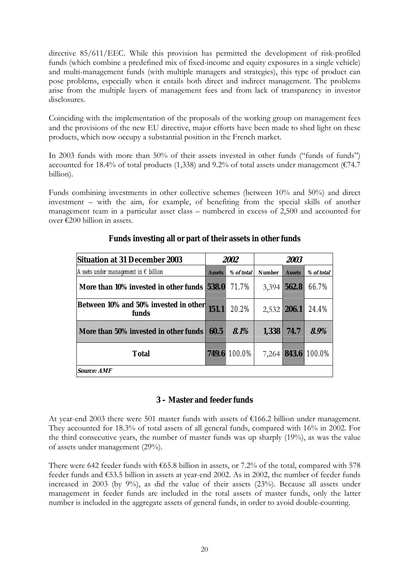directive 85/611/EEC. While this provision has permitted the development of risk-profiled funds (which combine a predefined mix of fixed-income and equity exposures in a single vehicle) and multi-management funds (with multiple managers and strategies), this type of product can pose problems, especially when it entails both direct and indirect management. The problems arise from the multiple layers of management fees and from lack of transparency in investor disclosures.

Coinciding with the implementation of the proposals of the working group on management fees and the provisions of the new EU directive, major efforts have been made to shed light on these products, which now occupy a substantial position in the French market.

In 2003 funds with more than  $50\%$  of their assets invested in other funds ("funds of funds") accounted for 18.4% of total products (1,338) and 9.2% of total assets under management ( $\epsilon$ 74.7 billion).

Funds combining investments in other collective schemes (between 10% and 50%) and direct  $i$ nvestment  $-$  with the aim, for example, of benefiting from the special skills of another management team in a particular asset class  $-$  numbered in excess of 2,500 and accounted for over  $\epsilon$ 200 billion in assets.

| <b>Situation at 31 December 2003</b>                 |               | 2002       | 2003          |               |                           |
|------------------------------------------------------|---------------|------------|---------------|---------------|---------------------------|
| Assets under management in $\epsilon$ billion        | <b>Assets</b> | % of total | <b>Number</b> | <b>Assets</b> | % of total                |
| More than 10% invested in other funds                | 538.0         | 71.7%      | 3,394         | 562.8         | 66.7%                     |
| Between 10% and 50% invested in other 151.1<br>funds |               | 20.2%      | $2,532$ 206.1 |               | 24.4%                     |
| More than 50% invested in other funds                | 60.5          | 8.1%       | 1,338         | 74.7          | 8.9%                      |
| <b>Total</b>                                         | 749.6         | $100.0\%$  |               |               | 7,264 <b>843.6</b> 100.0% |
| <i><b>Source: AMF</b></i>                            |               |            |               |               |                           |

#### **Funds investing all or part of their assets in other funds**

#### **3 – Master and feeder funds**

At year-end 2003 there were 501 master funds with assets of  $\epsilon$ 166.2 billion under management. They accounted for 18.3% of total assets of all general funds, compared with 16% in 2002. For the third consecutive years, the number of master funds was up sharply (19%), as was the value of assets under management (29%).

There were 642 feeder funds with  $\epsilon$ 65.8 billion in assets, or 7.2% of the total, compared with 578 feeder funds and  $£53.5$  billion in assets at year-end 2002. As in 2002, the number of feeder funds increased in 2003 (by 9%), as did the value of their assets (23%). Because all assets under management in feeder funds are included in the total assets of master funds, only the latter number is included in the aggregate assets of general funds, in order to avoid double-counting.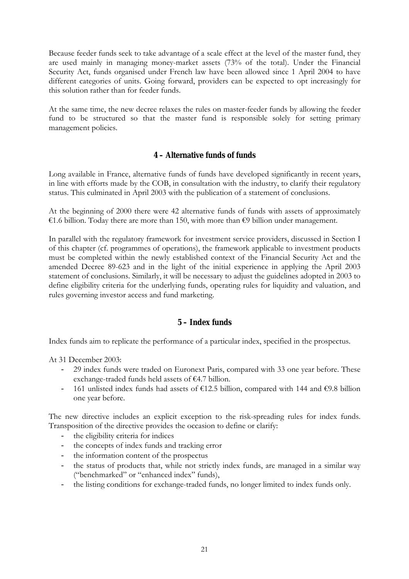Because feeder funds seek to take advantage of a scale effect at the level of the master fund, they are used mainly in managing money-market assets (73% of the total). Under the Financial Security Act, funds organised under French law have been allowed since 1 April 2004 to have different categories of units. Going forward, providers can be expected to opt increasingly for this solution rather than for feeder funds.

At the same time, the new decree relaxes the rules on master-feeder funds by allowing the feeder fund to be structured so that the master fund is responsible solely for setting primary management policies.

#### **4 – Alternative funds of funds**

Long available in France, alternative funds of funds have developed significantly in recent years, in line with efforts made by the COB, in consultation with the industry, to clarify their regulatory status. This culminated in April 2003 with the publication of a statement of conclusions.

At the beginning of 2000 there were 42 alternative funds of funds with assets of approximately  $\epsilon$ 1.6 billion. Today there are more than 150, with more than  $\epsilon$ 9 billion under management.

In parallel with the regulatory framework for investment service providers, discussed in Section I of this chapter (cf. programmes of operations), the framework applicable to investment products must be completed within the newly established context of the Financial Security Act and the amended Decree 89-623 and in the light of the initial experience in applying the April 2003 statement of conclusions. Similarly, it will be necessary to adjust the guidelines adopted in 2003 to define eligibility criteria for the underlying funds, operating rules for liquidity and valuation, and rules governing investor access and fund marketing.

#### **5 – Index funds**

Index funds aim to replicate the performance of a particular index, specified in the prospectus.

At 31 December 2003:

- 29 index funds were traded on Euronext Paris, compared with 33 one year before. These exchange-traded funds held assets of  $E4.7$  billion.
- 161 unlisted index funds had assets of  $\epsilon$ 12.5 billion, compared with 144 and  $\epsilon$ 9.8 billion one year before.

The new directive includes an explicit exception to the risk-spreading rules for index funds. Transposition of the directive provides the occasion to define or clarify:

- the eligibility criteria for indices
- the concepts of index funds and tracking error
- the information content of the prospectus
- the status of products that, while not strictly index funds, are managed in a similar way ("benchmarked" or "enhanced index" funds),
- the listing conditions for exchange-traded funds, no longer limited to index funds only.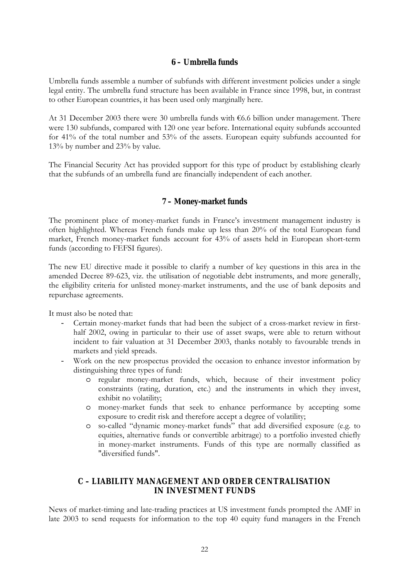#### **6 – Umbrella funds**

Umbrella funds assemble a number of subfunds with different investment policies under a single legal entity. The umbrella fund structure has been available in France since 1998, but, in contrast to other European countries, it has been used only marginally here.

At 31 December 2003 there were 30 umbrella funds with  $66.6$  billion under management. There were 130 subfunds, compared with 120 one year before. International equity subfunds accounted for 41% of the total number and 53% of the assets. European equity subfunds accounted for 13% by number and 23% by value.

The Financial Security Act has provided support for this type of product by establishing clearly that the subfunds of an umbrella fund are financially independent of each another.

## **7 – Money-market funds**

The prominent place of money-market funds in France's investment management industry is often highlighted. Whereas French funds make up less than 20% of the total European fund market, French money-market funds account for 43% of assets held in European short-term funds (according to FEFSI figures).

The new EU directive made it possible to clarify a number of key questions in this area in the amended Decree 89-623, viz. the utilisation of negotiable debt instruments, and more generally, the eligibility criteria for unlisted money-market instruments, and the use of bank deposits and repurchase agreements.

It must also be noted that:

- Certain money-market funds that had been the subject of a cross-market review in firsthalf 2002, owing in particular to their use of asset swaps, were able to return without incident to fair valuation at 31 December 2003, thanks notably to favourable trends in markets and yield spreads.
- Work on the new prospectus provided the occasion to enhance investor information by distinguishing three types of fund:
	- o regular money-market funds, which, because of their investment policy constraints (rating, duration, etc.) and the instruments in which they invest, exhibit no volatility;
	- o money-market funds that seek to enhance performance by accepting some exposure to credit risk and therefore accept a degree of volatility;
	- o so-called ìdynamic money-market fundsî that add diversified exposure (e.g. to equities, alternative funds or convertible arbitrage) to a portfolio invested chiefly in money-market instruments. Funds of this type are normally classified as "diversified funds".

#### **C – LIABILITY MANAGEMENT AND ORDER CENTRALISATION IN INVESTMENT FUNDS**

News of market-timing and late-trading practices at US investment funds prompted the AMF in late 2003 to send requests for information to the top 40 equity fund managers in the French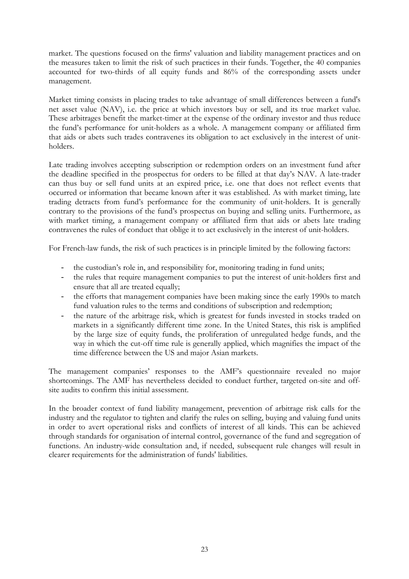market. The questions focused on the firms' valuation and liability management practices and on the measures taken to limit the risk of such practices in their funds. Together, the 40 companies accounted for two-thirds of all equity funds and 86% of the corresponding assets under management.

Market timing consists in placing trades to take advantage of small differences between a fund's net asset value (NAV), i.e. the price at which investors buy or sell, and its true market value. These arbitrages benefit the market-timer at the expense of the ordinary investor and thus reduce the fund's performance for unit-holders as a whole. A management company or affiliated firm that aids or abets such trades contravenes its obligation to act exclusively in the interest of unitholders.

Late trading involves accepting subscription or redemption orders on an investment fund after the deadline specified in the prospectus for orders to be filled at that day's NAV. A late-trader can thus buy or sell fund units at an expired price, i.e. one that does not reflect events that occurred or information that became known after it was established. As with market timing, late trading detracts from fund's performance for the community of unit-holders. It is generally contrary to the provisions of the fund's prospectus on buying and selling units. Furthermore, as with market timing, a management company or affiliated firm that aids or abets late trading contravenes the rules of conduct that oblige it to act exclusively in the interest of unit-holders.

For French-law funds, the risk of such practices is in principle limited by the following factors:

- the custodian's role in, and responsibility for, monitoring trading in fund units;
- the rules that require management companies to put the interest of unit-holders first and ensure that all are treated equally;
- the efforts that management companies have been making since the early 1990s to match fund valuation rules to the terms and conditions of subscription and redemption;
- the nature of the arbitrage risk, which is greatest for funds invested in stocks traded on markets in a significantly different time zone. In the United States, this risk is amplified by the large size of equity funds, the proliferation of unregulated hedge funds, and the way in which the cut-off time rule is generally applied, which magnifies the impact of the time difference between the US and major Asian markets.

The management companies' responses to the AMF's questionnaire revealed no major shortcomings. The AMF has nevertheless decided to conduct further, targeted on-site and offsite audits to confirm this initial assessment.

In the broader context of fund liability management, prevention of arbitrage risk calls for the industry and the regulator to tighten and clarify the rules on selling, buying and valuing fund units in order to avert operational risks and conflicts of interest of all kinds. This can be achieved through standards for organisation of internal control, governance of the fund and segregation of functions. An industry-wide consultation and, if needed, subsequent rule changes will result in clearer requirements for the administration of funds' liabilities.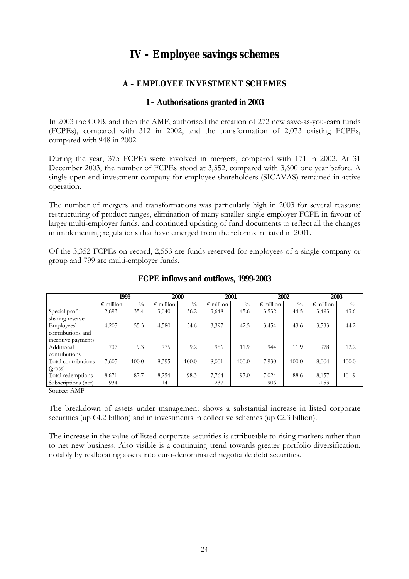## **IV – Employee savings schemes**

## **A – EMPLOYEE INVESTMENT SCHEMES**

## **1 – Authorisations granted in 2003**

In 2003 the COB, and then the AMF, authorised the creation of 272 new save-as-you-earn funds (FCPEs), compared with 312 in 2002, and the transformation of 2,073 existing FCPEs, compared with 948 in 2002.

During the year, 375 FCPEs were involved in mergers, compared with 171 in 2002. At 31 December 2003, the number of FCPEs stood at 3,352, compared with 3,600 one year before. A single open-end investment company for employee shareholders (SICAVAS) remained in active operation.

The number of mergers and transformations was particularly high in 2003 for several reasons: restructuring of product ranges, elimination of many smaller single-employer FCPE in favour of larger multi-employer funds, and continued updating of fund documents to reflect all the changes in implementing regulations that have emerged from the reforms initiated in 2001.

Of the 3,352 FCPEs on record, 2,553 are funds reserved for employees of a single company or group and 799 are multi-employer funds.

|                     | 1999               |               |                    | 2000<br>2001 |                    |               | 2002               |               | 2003               |               |
|---------------------|--------------------|---------------|--------------------|--------------|--------------------|---------------|--------------------|---------------|--------------------|---------------|
|                     | $\epsilon$ million | $\frac{0}{0}$ | $\epsilon$ million | $^{0}/_{0}$  | $\epsilon$ million | $\frac{0}{0}$ | $\epsilon$ million | $\frac{0}{0}$ | $\epsilon$ million | $\frac{0}{0}$ |
| Special profit-     | 2,693              | 35.4          | 3,040              | 36.2         | 3,648              | 45.6          | 3,532              | 44.5          | 3,493              | 43.6          |
| sharing reserve     |                    |               |                    |              |                    |               |                    |               |                    |               |
| Employees'          | 4,205              | 55.3          | 4,580              | 54.6         | 3,397              | 42.5          | 3,454              | 43.6          | 3,533              | 44.2          |
| contributions and   |                    |               |                    |              |                    |               |                    |               |                    |               |
| incentive payments  |                    |               |                    |              |                    |               |                    |               |                    |               |
| Additional          | 707                | 9.3           | 775                | 9.2          | 956                | 11.9          | 944                | 11.9          | 978                | 12.2          |
| contributions       |                    |               |                    |              |                    |               |                    |               |                    |               |
| Total contributions | 7,605              | 100.0         | 8,395              | 100.0        | 8,001              | 100.0         | 7,930              | 100.0         | 8,004              | 100.0         |
| (gross)             |                    |               |                    |              |                    |               |                    |               |                    |               |
| Total redemptions   | 8,671              | 87.7          | 8,254              | 98.3         | 7,764              | 97.0          | 7,024              | 88.6          | 8,157              | 101.9         |
| Subscriptions (net) | 934                |               | 141                |              | 237                |               | 906                |               | $-153$             |               |

#### **FCPE inflows and outflows, 1999-2003**

Source: AMF

The breakdown of assets under management shows a substantial increase in listed corporate securities (up  $\epsilon$ 4.2 billion) and in investments in collective schemes (up  $\epsilon$ 2.3 billion).

The increase in the value of listed corporate securities is attributable to rising markets rather than to net new business. Also visible is a continuing trend towards greater portfolio diversification, notably by reallocating assets into euro-denominated negotiable debt securities.